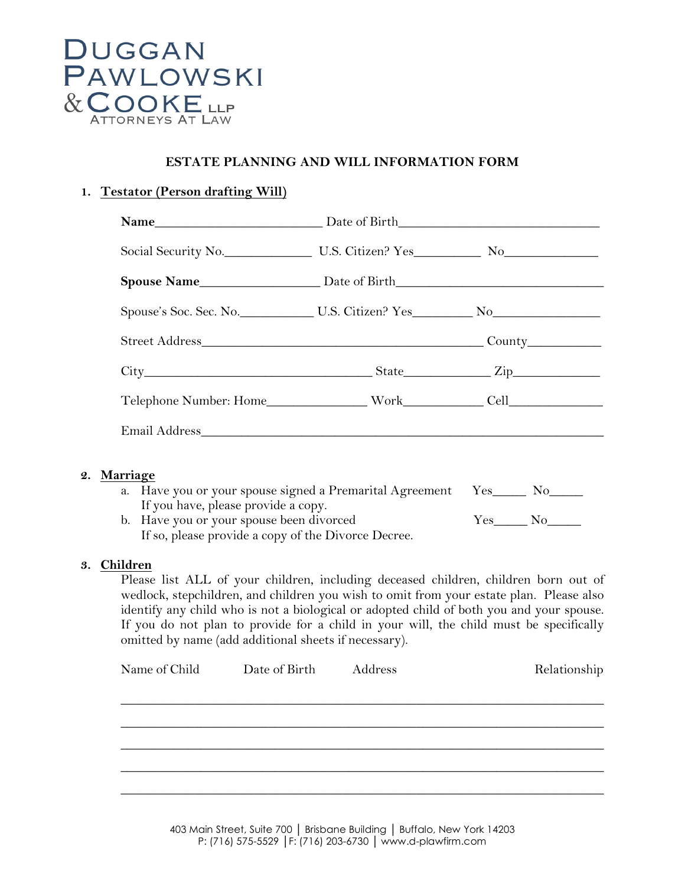

## **ESTATE PLANNING AND WILL INFORMATION FORM**

## **1. Testator (Person drafting Will)**

### **2. Marriage**

| a. Have you or your spouse signed a Premarital Agreement Yes____ |          |
|------------------------------------------------------------------|----------|
| If you have, please provide a copy.                              |          |
| b. Have you or your spouse been divorced                         | $V_{ES}$ |
|                                                                  |          |

If so, please provide a copy of the Divorce Decree.

#### **3. Children**

Please list ALL of your children, including deceased children, children born out of wedlock, stepchildren, and children you wish to omit from your estate plan. Please also identify any child who is not a biological or adopted child of both you and your spouse. If you do not plan to provide for a child in your will, the child must be specifically omitted by name (add additional sheets if necessary).

| Name of Child | Date of Birth Address | Relationship |
|---------------|-----------------------|--------------|
|               |                       |              |
|               |                       |              |
|               |                       |              |
|               |                       |              |
|               |                       |              |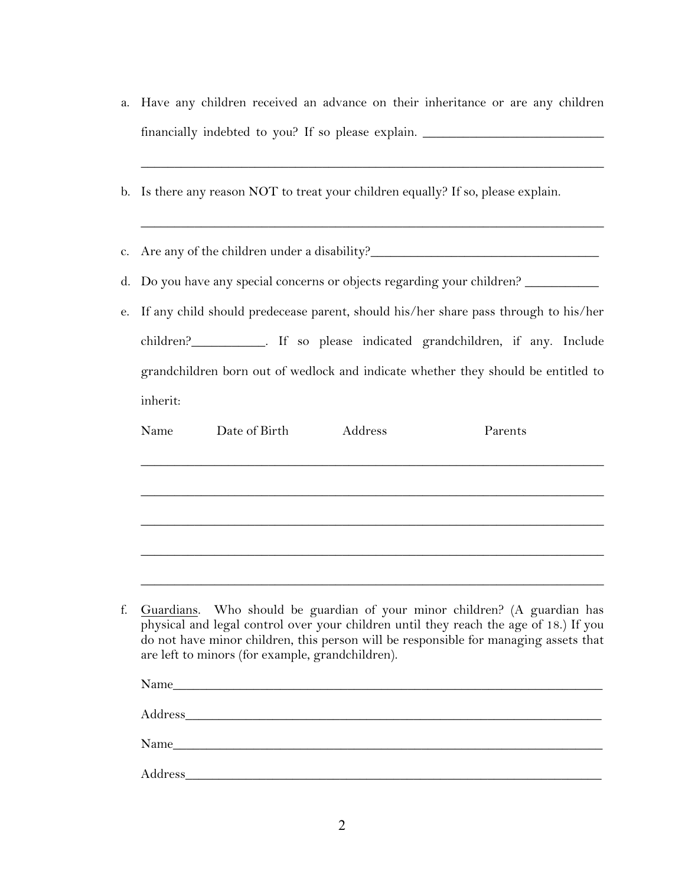a. Have any children received an advance on their inheritance or are any children financially indebted to you? If so please explain. \_\_\_\_\_\_\_\_\_\_\_\_\_\_\_\_\_\_\_\_\_\_\_\_\_\_\_\_\_\_

\_\_\_\_\_\_\_\_\_\_\_\_\_\_\_\_\_\_\_\_\_\_\_\_\_\_\_\_\_\_\_\_\_\_\_\_\_\_\_\_\_\_\_\_\_\_\_\_\_\_\_\_\_\_\_\_\_\_\_\_\_\_\_\_\_\_\_\_\_

\_\_\_\_\_\_\_\_\_\_\_\_\_\_\_\_\_\_\_\_\_\_\_\_\_\_\_\_\_\_\_\_\_\_\_\_\_\_\_\_\_\_\_\_\_\_\_\_\_\_\_\_\_\_\_\_\_\_\_\_\_\_\_\_\_\_\_\_\_

b. Is there any reason NOT to treat your children equally? If so, please explain.

c. Are any of the children under a disability?\_\_\_\_\_\_\_\_\_\_\_\_\_\_\_\_\_\_\_\_\_\_\_\_\_\_\_\_\_\_\_\_\_\_

d. Do you have any special concerns or objects regarding your children? \_\_\_\_\_\_\_\_\_

e. If any child should predecease parent, should his/her share pass through to his/her children?\_\_\_\_\_\_\_\_\_\_\_. If so please indicated grandchildren, if any. Include grandchildren born out of wedlock and indicate whether they should be entitled to inherit:

| Name | Date of Birth | Address | Parents                                                                                                                                                              |
|------|---------------|---------|----------------------------------------------------------------------------------------------------------------------------------------------------------------------|
|      |               |         |                                                                                                                                                                      |
|      |               |         |                                                                                                                                                                      |
|      |               |         |                                                                                                                                                                      |
|      |               |         |                                                                                                                                                                      |
|      |               |         |                                                                                                                                                                      |
|      |               |         |                                                                                                                                                                      |
|      |               |         |                                                                                                                                                                      |
|      |               |         | f. Guardians. Who should be guardian of your minor children? (A guardian has<br>physical and legal control over your children until they reach the age of 18. If you |

physical and legal control over your children until they reach the age of 18.) If you do not have minor children, this person will be responsible for managing assets that are left to minors (for example, grandchildren).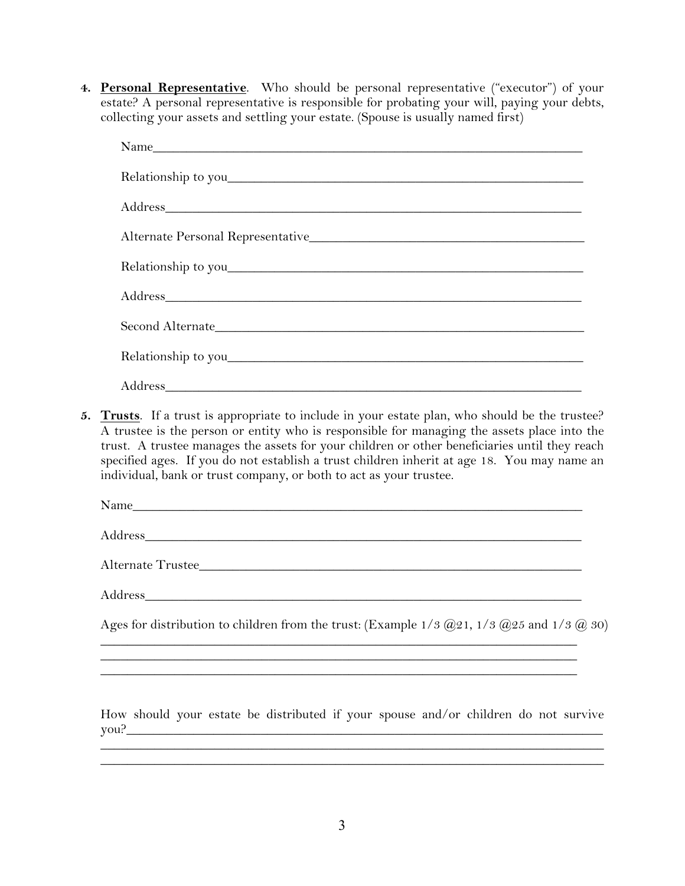**4. Personal Representative**. Who should be personal representative ("executor") of your estate? A personal representative is responsible for probating your will, paying your debts, collecting your assets and settling your estate. (Spouse is usually named first)

| Second Alternate |
|------------------|
|                  |
|                  |

**5. Trusts**. If a trust is appropriate to include in your estate plan, who should be the trustee? A trustee is the person or entity who is responsible for managing the assets place into the trust. A trustee manages the assets for your children or other beneficiaries until they reach specified ages. If you do not establish a trust children inherit at age 18. You may name an individual, bank or trust company, or both to act as your trustee.

| - -<br>$- - - - - -$ |  |
|----------------------|--|
|                      |  |

Address\_\_\_\_\_\_\_\_\_\_\_\_\_\_\_\_\_\_\_\_\_\_\_\_\_\_\_\_\_\_\_\_\_\_\_\_\_\_\_\_\_\_\_\_\_\_\_\_\_\_\_\_\_\_\_\_\_\_\_\_\_\_\_\_\_

Alternate Trustee\_\_\_\_\_\_\_\_\_\_\_\_\_\_\_\_\_\_\_\_\_\_\_\_\_\_\_\_\_\_\_\_\_\_\_\_\_\_\_\_\_\_\_\_\_\_\_\_\_\_\_\_\_\_\_\_\_

Address**\_\_\_\_\_\_\_\_\_\_\_\_\_\_\_\_\_\_\_\_\_\_\_\_\_\_\_\_\_\_\_\_\_\_\_\_\_\_\_\_\_\_\_\_\_\_\_\_\_\_\_\_\_\_\_\_\_\_\_\_\_\_\_\_\_**

Ages for distribution to children from the trust: (Example  $1/3$   $\omega$ 21,  $1/3$   $\omega$ 25 and  $1/3$   $\omega$  30)

 $\_$  , and the set of the set of the set of the set of the set of the set of the set of the set of the set of the set of the set of the set of the set of the set of the set of the set of the set of the set of the set of th  $\_$  , and the set of the set of the set of the set of the set of the set of the set of the set of the set of the set of the set of the set of the set of the set of the set of the set of the set of the set of the set of th

\_\_\_\_\_\_\_\_\_\_\_\_\_\_\_\_\_\_\_\_\_\_\_\_\_\_\_\_\_\_\_\_\_\_\_\_\_\_\_\_\_\_\_\_\_\_\_\_\_\_\_\_\_\_\_\_\_\_\_\_\_\_\_\_\_\_\_\_\_\_\_

How should your estate be distributed if your spouse and/or children do not survive you?\_\_\_\_\_\_\_\_\_\_\_\_\_\_\_\_\_\_\_\_\_\_\_\_\_\_\_\_\_\_\_\_\_\_\_\_\_\_\_\_\_\_\_\_\_\_\_\_\_\_\_\_\_\_\_\_\_\_\_\_\_\_\_\_\_\_\_\_\_\_\_

\_\_\_\_\_\_\_\_\_\_\_\_\_\_\_\_\_\_\_\_\_\_\_\_\_\_\_\_\_\_\_\_\_\_\_\_\_\_\_\_\_\_\_\_\_\_\_\_\_\_\_\_\_\_\_\_\_\_\_\_\_\_\_\_\_\_\_\_\_\_\_\_\_\_\_ \_\_\_\_\_\_\_\_\_\_\_\_\_\_\_\_\_\_\_\_\_\_\_\_\_\_\_\_\_\_\_\_\_\_\_\_\_\_\_\_\_\_\_\_\_\_\_\_\_\_\_\_\_\_\_\_\_\_\_\_\_\_\_\_\_\_\_\_\_\_\_\_\_\_\_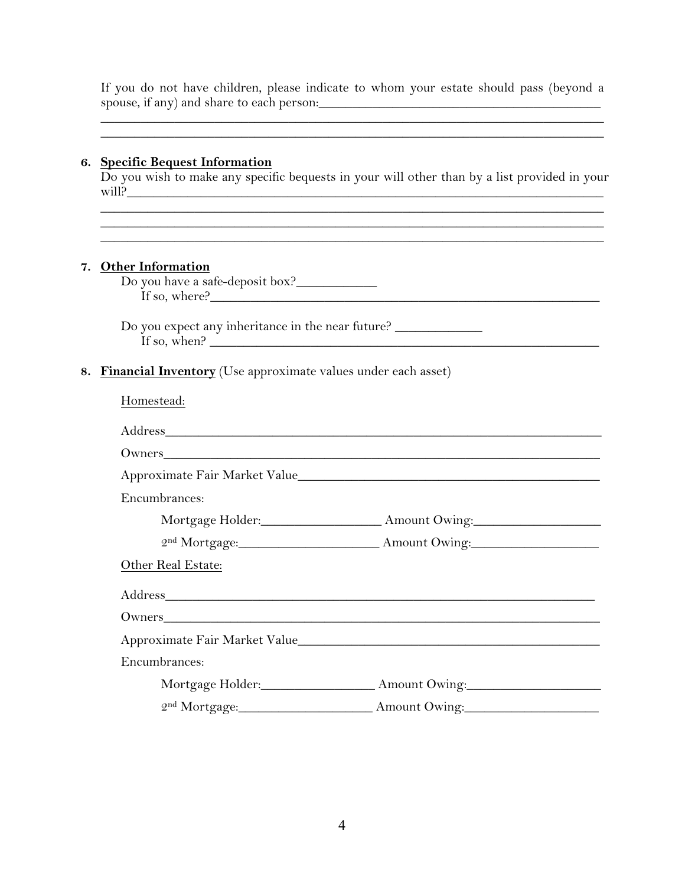If you do not have children, please indicate to whom your estate should pass (beyond a spouse, if any) and share to each person:\_\_\_\_\_\_\_\_\_\_\_\_\_\_\_\_\_\_\_\_\_\_\_\_\_\_\_\_\_\_\_\_\_\_\_\_\_\_\_\_\_\_

 $\mathcal{L}_\mathcal{L} = \mathcal{L}_\mathcal{L} = \mathcal{L}_\mathcal{L} = \mathcal{L}_\mathcal{L} = \mathcal{L}_\mathcal{L} = \mathcal{L}_\mathcal{L} = \mathcal{L}_\mathcal{L} = \mathcal{L}_\mathcal{L} = \mathcal{L}_\mathcal{L} = \mathcal{L}_\mathcal{L} = \mathcal{L}_\mathcal{L} = \mathcal{L}_\mathcal{L} = \mathcal{L}_\mathcal{L} = \mathcal{L}_\mathcal{L} = \mathcal{L}_\mathcal{L} = \mathcal{L}_\mathcal{L} = \mathcal{L}_\mathcal{L}$ 

### **6. Specific Bequest Information**

Do you wish to make any specific bequests in your will other than by a list provided in your will?

 $\overline{\phantom{a}}$  , and the contribution of the contribution of the contribution of the contribution of the contribution of the contribution of the contribution of the contribution of the contribution of the contribution of the

 $\mathcal{L}_\mathcal{L} = \{ \mathcal{L}_\mathcal{L} = \{ \mathcal{L}_\mathcal{L} = \{ \mathcal{L}_\mathcal{L} = \{ \mathcal{L}_\mathcal{L} = \{ \mathcal{L}_\mathcal{L} = \{ \mathcal{L}_\mathcal{L} = \{ \mathcal{L}_\mathcal{L} = \{ \mathcal{L}_\mathcal{L} = \{ \mathcal{L}_\mathcal{L} = \{ \mathcal{L}_\mathcal{L} = \{ \mathcal{L}_\mathcal{L} = \{ \mathcal{L}_\mathcal{L} = \{ \mathcal{L}_\mathcal{L} = \{ \mathcal{L}_\mathcal{$ 

#### **7. Other Information**

Do you have a safe-deposit box?\_\_\_\_\_\_\_\_\_\_\_\_ If so, where?\_\_\_\_\_\_\_\_\_\_\_\_\_\_\_\_\_\_\_\_\_\_\_\_\_\_\_\_\_\_\_\_\_\_\_\_\_\_\_\_\_\_\_\_\_\_\_\_\_\_\_\_\_\_\_\_\_\_

Do you expect any inheritance in the near future? \_\_\_\_\_\_\_\_\_\_\_\_\_\_\_\_\_\_\_\_\_\_\_\_\_\_\_\_\_\_ If so, when?  $\blacksquare$ 

## **8. Financial Inventory** (Use approximate values under each asset)

| Homestead:         |                                                                                  |
|--------------------|----------------------------------------------------------------------------------|
|                    |                                                                                  |
|                    |                                                                                  |
|                    |                                                                                  |
| Encumbrances:      |                                                                                  |
|                    | Mortgage Holder: Amount Owing:                                                   |
|                    | 2nd Mortgage: Amount Owing:                                                      |
| Other Real Estate: |                                                                                  |
|                    |                                                                                  |
|                    |                                                                                  |
|                    |                                                                                  |
| Encumbrances:      |                                                                                  |
|                    | Mortgage Holder:_______________________ Amount Owing:___________________________ |
|                    | 2nd Mortgage: Amount Owing:                                                      |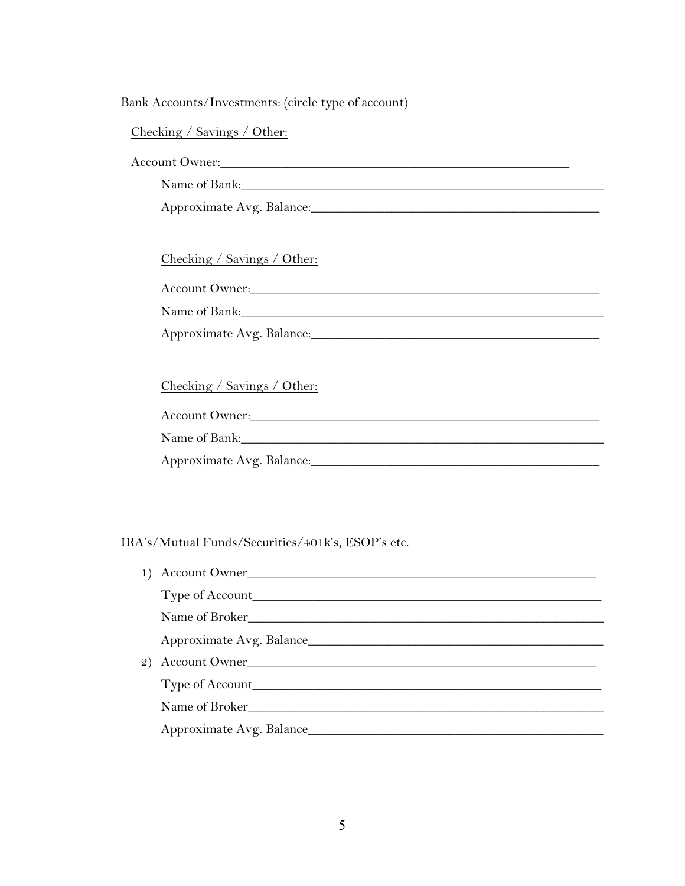# Bank Accounts/Investments: (circle type of account)

# Checking / Savings / Other:

### Account Owner:

Name of Bank:\_\_\_\_\_\_\_\_\_\_\_\_\_\_\_\_\_\_\_\_\_\_\_\_\_\_\_\_\_\_\_\_\_\_\_\_\_\_\_\_\_\_\_\_\_\_\_\_\_\_\_\_\_\_

Approximate Avg. Balance:\_\_\_\_\_\_\_\_\_\_\_\_\_\_\_\_\_\_\_\_\_\_\_\_\_\_\_\_\_\_\_\_\_\_\_\_\_\_\_\_\_\_\_

### Checking / Savings / Other:

Account Owner:\_\_\_\_\_\_\_\_\_\_\_\_\_\_\_\_\_\_\_\_\_\_\_\_\_\_\_\_\_\_\_\_\_\_\_\_\_\_\_\_\_\_\_\_\_\_\_\_\_\_\_\_

Name of Bank:\_\_\_\_\_\_\_\_\_\_\_\_\_\_\_\_\_\_\_\_\_\_\_\_\_\_\_\_\_\_\_\_\_\_\_\_\_\_\_\_\_\_\_\_\_\_\_\_\_\_\_\_\_\_

| Approximate Avg. Balance: |  |
|---------------------------|--|
|                           |  |

# Checking / Savings / Other:

| <b>Account Owner:</b> |  |
|-----------------------|--|
| Name of Bank:         |  |

Approximate Avg. Balance:\_\_\_\_\_\_\_\_\_\_\_\_\_\_\_\_\_\_\_\_\_\_\_\_\_\_\_\_\_\_\_\_\_\_\_\_\_\_\_\_\_\_\_

# IRA's/Mutual Funds/Securities/401k's, ESOP's etc.

| 1) Account Owner              |
|-------------------------------|
|                               |
| Name of Broker                |
|                               |
| 2) Account Owner              |
|                               |
| Name of Broker Name of Broker |
|                               |
|                               |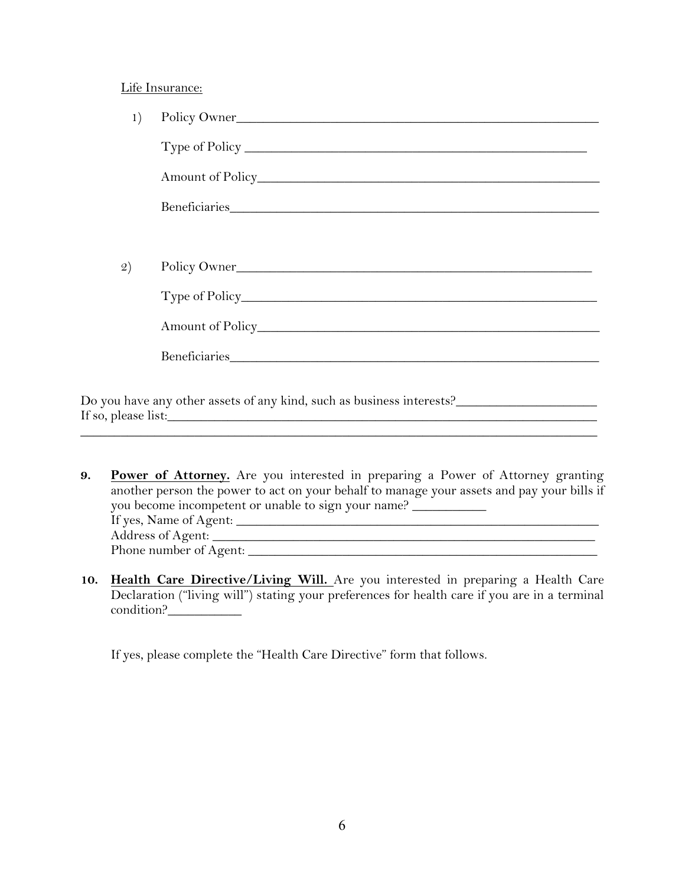#### Life Insurance:

|    | Policy Owner   |
|----|----------------|
|    | Type of Policy |
|    |                |
|    |                |
|    |                |
| 2) | Policy Owner   |
|    |                |
|    |                |
|    |                |
|    |                |

Do you have any other assets of any kind, such as business interests?\_\_\_\_\_\_\_\_\_\_\_\_\_\_\_\_\_\_\_\_\_ If so, please list:

- **9. Power of Attorney.** Are you interested in preparing a Power of Attorney granting another person the power to act on your behalf to manage your assets and pay your bills if you become incompetent or unable to sign your name? \_\_\_\_\_\_\_\_\_\_\_\_\_\_\_\_\_\_\_\_\_\_\_\_\_\_\_\_ If yes, Name of Agent: \_\_\_\_\_\_\_\_\_\_\_\_\_\_\_\_\_\_\_\_\_\_\_\_\_\_\_\_\_\_\_\_\_\_\_\_\_\_\_\_\_\_\_\_\_\_\_\_\_\_\_\_\_\_ Address of Agent: \_\_\_\_\_\_\_\_\_\_\_\_\_\_\_\_\_\_\_\_\_\_\_\_\_\_\_\_\_\_\_\_\_\_\_\_\_\_\_\_\_\_\_\_\_\_\_\_\_\_\_\_\_\_\_\_\_ Phone number of  $\overline{Agent:}$
- **10. Health Care Directive/Living Will.** Are you interested in preparing a Health Care Declaration ("living will") stating your preferences for health care if you are in a terminal condition?\_\_\_\_\_\_\_\_\_\_\_

If yes, please complete the "Health Care Directive" form that follows.